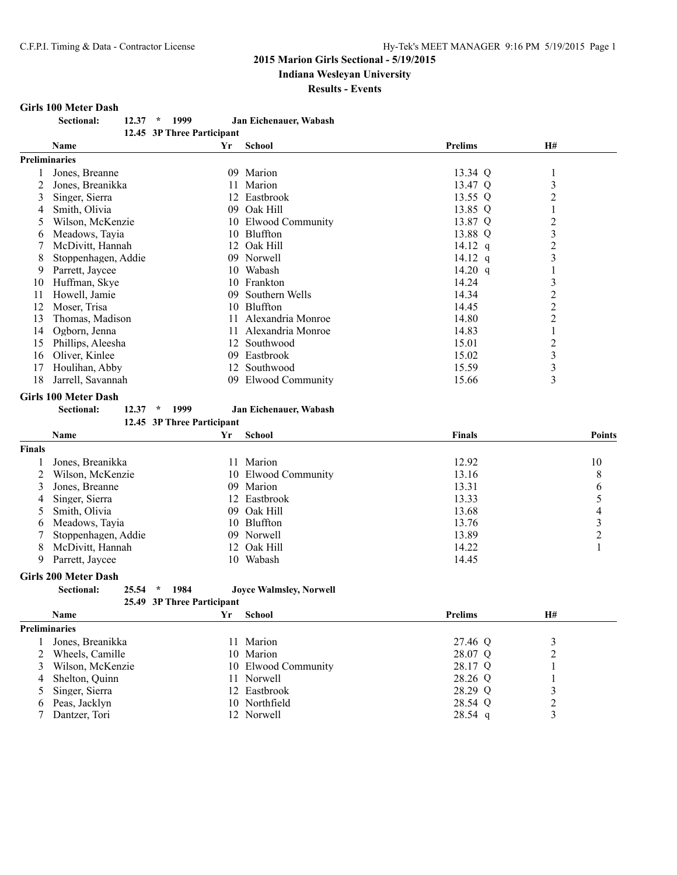# **2015 Marion Girls Sectional - 5/19/2015 Indiana Wesleyan University**

### **Results - Events**

### **Girls 100 Meter Dash**

| <b>Sectional:</b> | $12.37 * 1999$ |                            | Jan Eichenauer, Wabash      |
|-------------------|----------------|----------------------------|-----------------------------|
|                   |                | 12.45 3P Three Participant |                             |
| Name.             |                |                            | $V_{\rm H}$ $R_{\rm shool}$ |

|                      | Name                | Yr  | <b>School</b>     | <b>Prelims</b> | <b>H#</b> |  |
|----------------------|---------------------|-----|-------------------|----------------|-----------|--|
| <b>Preliminaries</b> |                     |     |                   |                |           |  |
|                      | Jones, Breanne      | 09  | Marion            | 13.34 Q        |           |  |
|                      | Jones, Breanikka    |     | Marion            | 13.47 Q        | 3         |  |
| 3                    | Singer, Sierra      | 12  | Eastbrook         | 13.55 Q        | 2         |  |
| 4                    | Smith, Olivia       | 09  | Oak Hill          | 13.85 Q        |           |  |
|                      | Wilson, McKenzie    | 10  | Elwood Community  | 13.87 Q        | 2         |  |
| 6                    | Meadows, Tavia      |     | 10 Bluffton       | 13.88 Q        | 3         |  |
|                      | McDivitt, Hannah    | 12  | Oak Hill          | 14.12 $q$      | 2         |  |
| 8                    | Stoppenhagen, Addie |     | 09 Norwell        | $14.12$ q      | 3         |  |
| 9                    | Parrett, Jaycee     | 10  | Wabash            | 14.20 $q$      |           |  |
| 10                   | Huffman, Skye       | 10  | Frankton          | 14.24          | 3         |  |
| 11                   | Howell, Jamie       | 09. | Southern Wells    | 14.34          | 2         |  |
| 12                   | Moser, Trisa        |     | 10 Bluffton       | 14.45          | 2         |  |
| 13                   | Thomas, Madison     | 11  | Alexandria Monroe | 14.80          | 2         |  |
| 14                   | Ogborn, Jenna       |     | Alexandria Monroe | 14.83          |           |  |
| 15                   | Phillips, Aleesha   | 12  | Southwood         | 15.01          | 2         |  |
| 16                   | Oliver, Kinlee      | 09  | Eastbrook         | 15.02          | 3         |  |
| 17                   | Houlihan, Abby      | 12  | Southwood         | 15.59          | 3         |  |
| 18                   | Jarrell, Savannah   | 09  | Elwood Community  | 15.66          | 3         |  |

### **Girls 100 Meter Dash**

**Sectional: 12.37 \* 1999 Jan Eichenauer, Wabash**

|               |                     | 12.45 3P Three Participant |                     |               |               |
|---------------|---------------------|----------------------------|---------------------|---------------|---------------|
|               | <b>Name</b>         | Yr                         | School              | <b>Finals</b> | <b>Points</b> |
| <b>Finals</b> |                     |                            |                     |               |               |
|               | Jones, Breanikka    |                            | 11 Marion           | 12.92         | 10            |
|               | Wilson, McKenzie    |                            | 10 Elwood Community | 13.16         | 8             |
| 3             | Jones, Breanne      | 09                         | Marion              | 13.31         | b             |
| 4             | Singer, Sierra      |                            | 12 Eastbrook        | 13.33         |               |
|               | Smith, Olivia       |                            | 09 Oak Hill         | 13.68         | 4             |
| 6             | Meadows, Tayia      |                            | 10 Bluffton         | 13.76         | ◠             |
|               | Stoppenhagen, Addie | 09.                        | Norwell             | 13.89         |               |
| 8             | McDivitt, Hannah    |                            | 12 Oak Hill         | 14.22         |               |
|               | Parrett, Jaycee     | 10                         | Wabash              | 14.45         |               |

**Girls 200 Meter Dash**

**Sectional: 25.54 \* 1984 Joyce Walmsley, Norwell**

|               | 25.49 3P Three Participant |    |                     |           |    |  |
|---------------|----------------------------|----|---------------------|-----------|----|--|
|               | <b>Name</b>                | Yr | School              | Prelims   | H# |  |
| Preliminaries |                            |    |                     |           |    |  |
|               | Jones, Breanikka           |    | 11 Marion           | 27.46 Q   |    |  |
|               | Wheels, Camille            |    | 10 Marion           | 28.07 Q   |    |  |
| 3             | Wilson, McKenzie           |    | 10 Elwood Community | 28.17 Q   |    |  |
| 4             | Shelton, Quinn             |    | 11 Norwell          | 28.26 Q   |    |  |
|               | 5 Singer, Sierra           |    | 12 Eastbrook        | 28.29 Q   |    |  |
| 6             | Peas, Jacklyn              |    | 10 Northfield       | 28.54 Q   |    |  |
|               | Dantzer, Tori              |    | 12 Norwell          | $28.54$ q |    |  |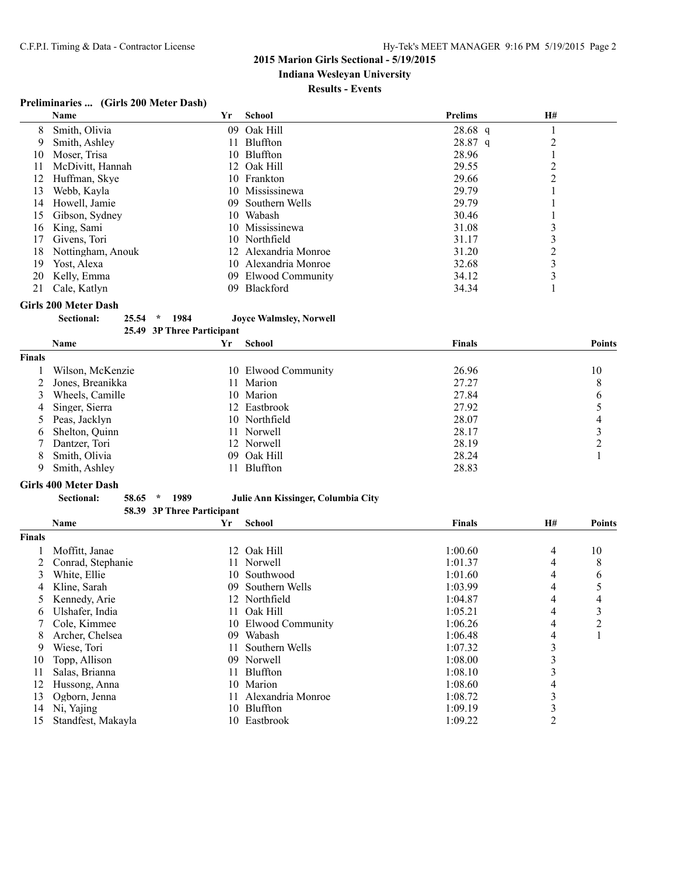**Indiana Wesleyan University**

### **Results - Events**

# **Preliminaries ... (Girls 200 Meter Dash)**

|    | Name              | Yr  | <b>School</b>        | <b>Prelims</b> | <b>H#</b> |
|----|-------------------|-----|----------------------|----------------|-----------|
| 8  | Smith, Olivia     | 09. | Oak Hill             | $28.68$ q      |           |
| 9  | Smith, Ashley     | 11. | Bluffton             | $28.87$ q      | 2         |
| 10 | Moser, Trisa      |     | 10 Bluffton          | 28.96          |           |
| 11 | McDivitt, Hannah  |     | 12 Oak Hill          | 29.55          | ി         |
| 12 | Huffman, Skye     |     | 10 Frankton          | 29.66          |           |
| 13 | Webb, Kayla       | 10  | Mississinewa         | 29.79          |           |
| 14 | Howell, Jamie     | 09  | Southern Wells       | 29.79          |           |
| 15 | Gibson, Sydney    | 10  | Wabash               | 30.46          |           |
| 16 | King, Sami        | 10  | Mississinewa         | 31.08          |           |
| 17 | Givens, Tori      |     | 10 Northfield        | 31.17          |           |
| 18 | Nottingham, Anouk |     | 12 Alexandria Monroe | 31.20          | າ         |
| 19 | Yost, Alexa       |     | 10 Alexandria Monroe | 32.68          | 3         |
| 20 | Kelly, Emma       | 09  | Elwood Community     | 34.12          | 3         |
| 21 | Cale, Katlyn      | 09  | <b>Blackford</b>     | 34.34          |           |

### **Girls 200 Meter Dash**

**Sectional: 25.54 \* 1984 Joyce Walmsley, Norwell**

**25.49 3P Three Participant**

|               | <b>Name</b>      | Yr | School              | <b>Finals</b> | <b>Points</b> |
|---------------|------------------|----|---------------------|---------------|---------------|
| <b>Finals</b> |                  |    |                     |               |               |
|               | Wilson, McKenzie |    | 10 Elwood Community | 26.96         | 10            |
|               | Jones, Breanikka |    | 11 Marion           | 27.27         | 8             |
| 3             | Wheels, Camille  |    | 10 Marion           | 27.84         | 6             |
|               | 4 Singer, Sierra |    | 12 Eastbrook        | 27.92         |               |
|               | 5 Peas, Jacklyn  |    | 10 Northfield       | 28.07         | 4             |
|               | 6 Shelton, Quinn |    | 11 Norwell          | 28.17         |               |
|               | Dantzer, Tori    |    | 12 Norwell          | 28.19         |               |
| 8.            | Smith, Olivia    |    | 09 Oak Hill         | 28.24         |               |
|               | Smith, Ashley    |    | Bluffton            | 28.83         |               |

# **Girls 400 Meter Dash**

**Sectional: 58.65 \* 1989 Julie Ann Kissinger, Columbia City**

### **58.39 3P Three Participant**

|               | Name               | Yr  | <b>School</b>       | <b>Finals</b> | H# | <b>Points</b> |
|---------------|--------------------|-----|---------------------|---------------|----|---------------|
| <b>Finals</b> |                    |     |                     |               |    |               |
|               | Moffitt, Janae     |     | 12 Oak Hill         | 1:00.60       | 4  | 10            |
|               | Conrad, Stephanie  | 11. | Norwell             | 1:01.37       | 4  | 8             |
| 3             | White, Ellie       | 10  | Southwood           | 1:01.60       | 4  | 6             |
| 4             | Kline, Sarah       | 09  | Southern Wells      | 1:03.99       | 4  |               |
|               | 5 Kennedy, Arie    |     | 12 Northfield       | 1:04.87       | 4  | 4             |
| 6             | Ulshafer, India    | 11. | Oak Hill            | 1:05.21       | 4  | 3             |
|               | Cole, Kimmee       |     | 10 Elwood Community | 1:06.26       | 4  | າ             |
| 8             | Archer, Chelsea    | 09  | Wabash              | 1:06.48       | 4  |               |
| 9             | Wiese, Tori        | 11  | Southern Wells      | 1:07.32       | 3  |               |
| 10            | Topp, Allison      | 09  | Norwell             | 1:08.00       | 3  |               |
| 11            | Salas, Brianna     | 11. | Bluffton            | 1:08.10       |    |               |
| 12            | Hussong, Anna      |     | 10 Marion           | 1:08.60       | 4  |               |
| 13            | Ogborn, Jenna      | 11. | Alexandria Monroe   | 1:08.72       | 3  |               |
| 14            | Ni, Yajing         |     | 10 Bluffton         | 1:09.19       | 3  |               |
| 15            | Standfest, Makayla | 10. | Eastbrook           | 1:09.22       | 2  |               |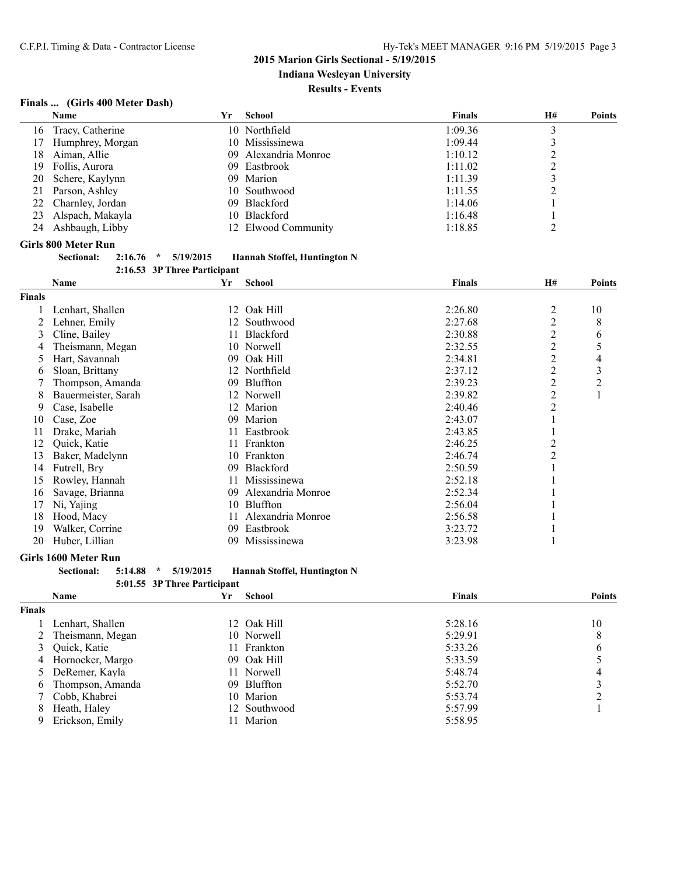**Indiana Wesleyan University**

### **Results - Events**

### **Finals ... (Girls 400 Meter Dash)**

|    | <b>Name</b>         | Yr | School               | <b>Finals</b> | H# | <b>Points</b> |
|----|---------------------|----|----------------------|---------------|----|---------------|
|    | 16 Tracy, Catherine |    | 10 Northfield        | 1:09.36       |    |               |
|    | 17 Humphrey, Morgan |    | 10 Mississinewa      | 1:09.44       |    |               |
|    | 18 Aiman, Allie     |    | 09 Alexandria Monroe | 1:10.12       |    |               |
|    | 19 Follis, Aurora   |    | 09 Eastbrook         | 1:11.02       |    |               |
|    | 20 Schere, Kaylynn  |    | 09 Marion            | 1:11.39       |    |               |
|    | 21 Parson, Ashley   |    | 10 Southwood         | 1:11.55       |    |               |
|    | 22 Charnley, Jordan |    | 09 Blackford         | 1:14.06       |    |               |
|    | 23 Alspach, Makayla |    | 10 Blackford         | 1:16.48       |    |               |
| 24 | Ashbaugh, Libby     |    | 12 Elwood Community  | 1:18.85       |    |               |

### **Girls 800 Meter Run**

| 5/19/2015<br><b>Sectional:</b><br>Hannah Stoffel, Huntington N<br>$2:16.76$ * |  |  |
|-------------------------------------------------------------------------------|--|--|
|-------------------------------------------------------------------------------|--|--|

**2:16.53 3P Three Participant Name Yr School Finals H# Points Finals** 1 Lenhart, Shallen 12 Oak Hill 2:26.80 2 10<br>2 Lehner, Emily 12 Southwood 2:27.68 2 8 2 Lehner, Emily 12 Southwood 2:27.68 2<br>3 Cline, Bailey 12 Hackford 2:30.88 2 3 Cline, Bailey 11 Blackford 2:30.88 2 6<br>4 Theismann, Megan 10 Norwell 2:32.55 2 5 4 Theismann, Megan 10 Norwell 2:32.55 2 5<br>5 Hart, Savannah 10 09 Oak Hill 2:34.81 2 4 5 Hart, Savannah 109 Oak Hill 2:34.81 2 4<br>5 Sloan, Brittany 12 Northfield 2:37.12 2 3 6 Sloan, Brittany 12 Northfield 2:37.12 2 3<br>
7 Thompson, Amanda 19 09 Bluffton 2:39.23 2 2 7 Thompson, Amanda 09 Bluffton 2:39.23 2 2 8 Bauermeister, Sarah 12 Norwell 2:39.82 2<br>
9 Case, Isabelle 12 Marion 2:40.46 2 9 Case, Isabelle 12 Marion 2:40.46 10 Case, Zoe 09 Marion 2:43.07 1 11 Drake, Mariah 11 Eastbrook 2:43.85 1 12 Quick, Katie 11 Frankton 11 Frankton 2:46.25 2<br>13 Baker, Madelynn 10 Frankton 2:46.74 2 13 Baker, Madelynn 10 Frankton 10 Frankton 2:46.74 2<br>14 Futrell, Bry 10 9 Blackford 2:50.59 1 14 Futrell, Bry 15 Rowley, Hannah 11 Mississinewa 2:52.18 1 16 Savage, Brianna 10 09 Alexandria Monroe 2:52.34 1<br>17 Ni, Yaiing 10 Bluffton 10 2:56.04 1 17 Ni, Yajing 10 Bluffton 10 Bluffton 2:56.04 1 18 Hood, Macy 11 Alexandria Monroe 2:56.58 1 19 Walker, Corrine 19 09 Eastbrook 3:23.72 1<br>
20 Huber, Lillian 19 09 Mississinewa 3:23.98 1 20 Huber, Lillian

### **Girls 1600 Meter Run**

**5:01.55 3P Three Participant**

|        | <b>Name</b>        | Yr  | <b>School</b> | <b>Finals</b> | <b>Points</b> |
|--------|--------------------|-----|---------------|---------------|---------------|
| Finals |                    |     |               |               |               |
|        | Lenhart, Shallen   |     | 12 Oak Hill   | 5:28.16       | 10            |
|        | 2 Theismann, Megan |     | 10 Norwell    | 5:29.91       |               |
|        | 3 Ouick, Katie     |     | 11 Frankton   | 5:33.26       | 6             |
|        | 4 Hornocker, Margo |     | 09 Oak Hill   | 5:33.59       |               |
|        | 5 DeRemer, Kayla   |     | 11 Norwell    | 5:48.74       | 4             |
| 6      | Thompson, Amanda   |     | 09 Bluffton   | 5:52.70       |               |
|        | Cobb, Khabrei      |     | 10 Marion     | 5:53.74       |               |
| 8      | Heath, Haley       |     | 12 Southwood  | 5:57.99       |               |
| 9      | Erickson, Emily    | 11. | Marion        | 5:58.95       |               |

**Sectional: 5:14.88 \* 5/19/2015 Hannah Stoffel, Huntington N**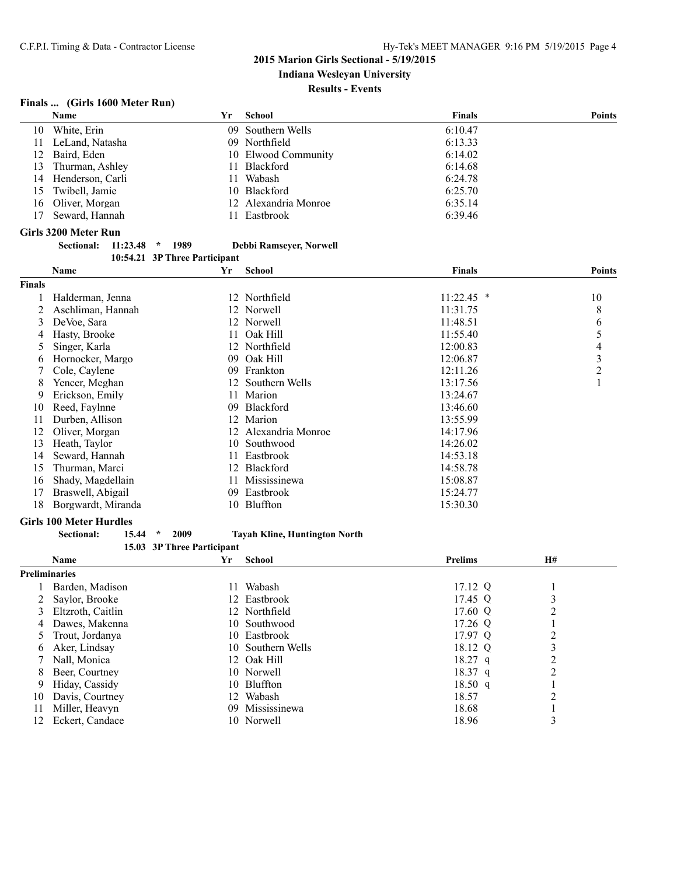**Indiana Wesleyan University**

**Results - Events**

# **Finals ... (Girls 1600 Meter Run)**

|     | <b>Name</b>                           | Υr | School               | <b>Finals</b> | <b>Points</b> |
|-----|---------------------------------------|----|----------------------|---------------|---------------|
| 10  | White, Erin                           |    | 09 Southern Wells    | 6:10.47       |               |
| 11  | LeLand, Natasha                       |    | 09 Northfield        | 6:13.33       |               |
| 12  | Baird, Eden                           |    | 10 Elwood Community  | 6:14.02       |               |
| 13  | Thurman, Ashley                       |    | 11 Blackford         | 6:14.68       |               |
| 14  | Henderson, Carli                      |    | 11 Wabash            | 6:24.78       |               |
| 15  | Twibell, Jamie                        |    | 10 Blackford         | 6:25.70       |               |
| 16. | Oliver, Morgan                        |    | 12 Alexandria Monroe | 6:35.14       |               |
| 17  | Seward, Hannah                        |    | 11 Eastbrook         | 6:39.46       |               |
|     | $C_{1}$ and $\mathbf{r}$ $\mathbf{n}$ |    |                      |               |               |

### **Girls 3200 Meter Run**

| Sectional: 11:23.48 * | 1989                          | Debbi Ramseyer, Norwell |
|-----------------------|-------------------------------|-------------------------|
|                       | 10:54.21 3P Three Participant |                         |

|        | Name               | Yr | <b>School</b>     | <b>Finals</b> | <b>Points</b>  |
|--------|--------------------|----|-------------------|---------------|----------------|
| Finals |                    |    |                   |               |                |
|        | Halderman, Jenna   | 12 | Northfield        | $11:22.45$ *  | 10             |
|        | Aschliman, Hannah  |    | 12 Norwell        | 11:31.75      | 8              |
| 3      | DeVoe, Sara        |    | 12 Norwell        | 11:48.51      | 6              |
| 4      | Hasty, Brooke      | 11 | Oak Hill          | 11:55.40      | 5              |
| 5      | Singer, Karla      | 12 | Northfield        | 12:00.83      | 4              |
| 6      | Hornocker, Margo   | 09 | Oak Hill          | 12:06.87      | 3              |
|        | Cole, Caylene      | 09 | Frankton          | 12:11.26      | $\overline{c}$ |
| 8      | Yencer, Meghan     |    | 12 Southern Wells | 13:17.56      |                |
| 9      | Erickson, Emily    | 11 | Marion            | 13:24.67      |                |
| 10     | Reed, Faylnne      | 09 | <b>Blackford</b>  | 13:46.60      |                |
| 11     | Durben, Allison    | 12 | Marion            | 13:55.99      |                |
| 12     | Oliver, Morgan     | 12 | Alexandria Monroe | 14:17.96      |                |
| 13     | Heath, Taylor      | 10 | Southwood         | 14:26.02      |                |
| 14     | Seward, Hannah     | 11 | Eastbrook         | 14:53.18      |                |
| 15     | Thurman, Marci     | 12 | <b>Blackford</b>  | 14:58.78      |                |
| 16     | Shady, Magdellain  | 11 | Mississinewa      | 15:08.87      |                |
| 17     | Braswell, Abigail  | 09 | Eastbrook         | 15:24.77      |                |
| 18     | Borgwardt, Miranda | 10 | Bluffton          | 15:30.30      |                |

# **Girls 100 Meter Hurdles**<br>Sectional: 15.44 \* 2009

**15.03 3P Three Participant**

# **Sectional: 15.44 \* 2009 Tayah Kline, Huntington North**

|               | Name              | Yr  | <b>School</b>     | <b>Prelims</b>     | H# |
|---------------|-------------------|-----|-------------------|--------------------|----|
| Preliminaries |                   |     |                   |                    |    |
|               | Barden, Madison   | 11  | Wabash            | $17.12 \text{ } Q$ |    |
|               | Saylor, Brooke    |     | 12 Eastbrook      | 17.45 Q            |    |
| 3             | Eltzroth, Caitlin |     | 12 Northfield     | 17.60 Q            |    |
| 4             | Dawes, Makenna    |     | 10 Southwood      | 17.26 Q            |    |
|               | Trout, Jordanya   | 10  | Eastbrook         | 17.97 Q            |    |
| 6             | Aker, Lindsay     |     | 10 Southern Wells | 18.12 Q            |    |
|               | Nall. Monica      |     | 12 Oak Hill       | $18.27$ q          |    |
| 8             | Beer, Courtney    |     | 10 Norwell        | $18.37$ q          |    |
| 9             | Hiday, Cassidy    |     | 10 Bluffton       | $18.50$ q          |    |
| 10            | Davis, Courtney   | 12  | Wabash            | 18.57              |    |
|               | Miller, Heavyn    | 09. | Mississinewa      | 18.68              |    |
| 12            | Eckert, Candace   |     | 10 Norwell        | 18.96              |    |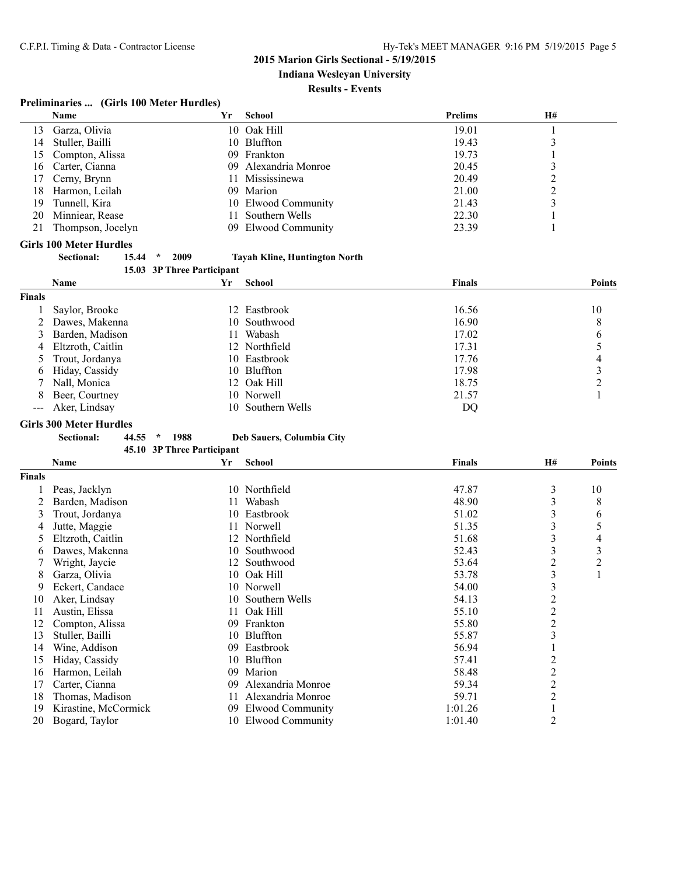**Indiana Wesleyan University**

### **Results - Events**

# **Preliminaries ... (Girls 100 Meter Hurdles)**

|    | <b>Name</b>       | Yr  | School               | <b>Prelims</b> | H# |  |
|----|-------------------|-----|----------------------|----------------|----|--|
| 13 | Garza, Olivia     |     | 10 Oak Hill          | 19.01          |    |  |
| 14 | Stuller, Bailli   |     | 10 Bluffton          | 19.43          |    |  |
| 15 | Compton, Alissa   |     | 09 Frankton          | 19.73          |    |  |
| 16 | Carter, Cianna    |     | 09 Alexandria Monroe | 20.45          |    |  |
| 17 | Cerny, Brynn      |     | Mississinewa         | 20.49          |    |  |
| 18 | Harmon, Leilah    | 09. | Marion               | 21.00          |    |  |
| 19 | Tunnell, Kira     |     | 10 Elwood Community  | 21.43          |    |  |
| 20 | Minniear, Rease   |     | Southern Wells       | 22.30          |    |  |
| 21 | Thompson, Jocelyn |     | 09 Elwood Community  | 23.39          |    |  |

### **Girls 100 Meter Hurdles**

| <b>Sectional:</b> | $15.44$ * | 2009                       | <b>Tayah Kline, Huntington North</b> |
|-------------------|-----------|----------------------------|--------------------------------------|
|                   |           | 15.03 3P Three Particinant |                                      |

|               | $13.03$ 31 THEC Farticipality |     |                   |        |               |
|---------------|-------------------------------|-----|-------------------|--------|---------------|
|               | Name                          | Yr. | School            | Finals | <b>Points</b> |
| <b>Finals</b> |                               |     |                   |        |               |
|               | Saylor, Brooke                |     | 12 Eastbrook      | 16.56  | 10            |
|               | 2 Dawes, Makenna              |     | 10 Southwood      | 16.90  | 8             |
|               | 3 Barden, Madison             | 11. | Wabash            | 17.02  | 6             |
| 4             | Eltzroth, Caitlin             |     | 12 Northfield     | 17.31  |               |
|               | 5 Trout, Jordanya             |     | 10 Eastbrook      | 17.76  | 4             |
|               | 6 Hiday, Cassidy              |     | 10 Bluffton       | 17.98  |               |
|               | 7 Nall, Monica                |     | 12 Oak Hill       | 18.75  |               |
| 8             | Beer, Courtney                |     | 10 Norwell        | 21.57  |               |
|               | --- Aker, Lindsay             |     | 10 Southern Wells | DQ     |               |

**Girls 300 Meter Hurdles**<br>Sectional: 44.55 \* 1988 **Sectional: 44.55 \* 1988 Deb Sauers, Columbia City**

**45.10 3P Three Participant Name Yr School Finals H# Points**

|               | .                    |     |                         | * ******* |                | .  |
|---------------|----------------------|-----|-------------------------|-----------|----------------|----|
| <b>Finals</b> |                      |     |                         |           |                |    |
|               | Peas, Jacklyn        |     | 10 Northfield           | 47.87     | 3              | 10 |
|               | Barden, Madison      | 11  | Wabash                  | 48.90     |                | 8  |
| 3             | Trout, Jordanya      | 10  | Eastbrook               | 51.02     |                | 6  |
| 4             | Jutte, Maggie        |     | 11 Norwell              | 51.35     |                | 5  |
| $\mathcal{D}$ | Eltzroth, Caitlin    |     | 12 Northfield           | 51.68     | 3              | 4  |
| <sub>(</sub>  | Dawes, Makenna       | 10  | Southwood               | 52.43     | 3              | 3  |
|               | Wright, Jaycie       | 12  | Southwood               | 53.64     | 2              | 2  |
| 8             | Garza, Olivia        |     | 10 Oak Hill             | 53.78     | 3              |    |
| 9             | Eckert, Candace      |     | 10 Norwell              | 54.00     | 3              |    |
| 10            | Aker, Lindsay        | 10  | Southern Wells          | 54.13     | 2              |    |
| 11            | Austin, Elissa       | 11. | Oak Hill                | 55.10     | 2              |    |
| 12            | Compton, Alissa      | 09  | Frankton                | 55.80     | 2              |    |
| 13            | Stuller, Bailli      | 10  | Bluffton                | 55.87     | 3              |    |
| 14            | Wine, Addison        | 09  | Eastbrook               | 56.94     |                |    |
| 15            | Hiday, Cassidy       | 10  | <b>Bluffton</b>         | 57.41     | 2              |    |
| 16            | Harmon, Leilah       | 09  | Marion                  | 58.48     | 2              |    |
| 17            | Carter, Cianna       | 09  | Alexandria Monroe       | 59.34     | $\overline{2}$ |    |
| 18            | Thomas, Madison      | 11  | Alexandria Monroe       | 59.71     | 2              |    |
| 19            | Kirastine, McCormick | 09  | <b>Elwood Community</b> | 1:01.26   |                |    |
| 20            | Bogard, Taylor       |     | 10 Elwood Community     | 1:01.40   | 2              |    |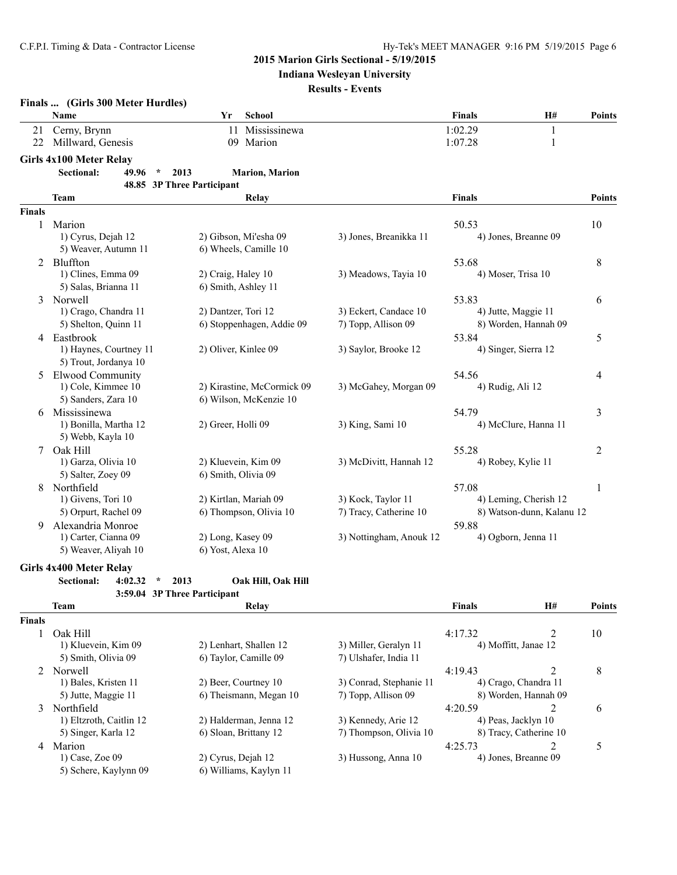**Indiana Wesleyan University**

### **Results - Events**

|               | Finals  (Girls 300 Meter Hurdles)         |                                |                         |                              |                           |                |
|---------------|-------------------------------------------|--------------------------------|-------------------------|------------------------------|---------------------------|----------------|
|               | Name                                      | Yr<br><b>School</b>            |                         | <b>Finals</b>                | <b>H#</b>                 | <b>Points</b>  |
|               | 21 Cerny, Brynn                           | Mississinewa<br>11             |                         | 1:02.29                      | $\mathbf{1}$              |                |
|               | 22 Millward, Genesis                      | 09 Marion                      |                         | 1:07.28                      | $\mathbf{1}$              |                |
|               | Girls 4x100 Meter Relay                   |                                |                         |                              |                           |                |
|               | $\star$<br><b>Sectional:</b><br>49.96     | 2013<br><b>Marion</b> , Marion |                         |                              |                           |                |
|               |                                           | 48.85 3P Three Participant     |                         |                              |                           |                |
|               | Team                                      | <b>Relay</b>                   |                         | <b>Finals</b>                |                           | <b>Points</b>  |
| <b>Finals</b> |                                           |                                |                         |                              |                           |                |
| $\mathbf{1}$  | Marion                                    |                                |                         | 50.53                        |                           | 10             |
|               | 1) Cyrus, Dejah 12                        | 2) Gibson, Mi'esha 09          | 3) Jones, Breanikka 11  |                              | 4) Jones, Breanne 09      |                |
|               | 5) Weaver, Autumn 11                      | 6) Wheels, Camille 10          |                         |                              |                           |                |
|               | 2 Bluffton                                |                                |                         | 53.68                        |                           | 8              |
|               | 1) Clines, Emma 09                        | 2) Craig, Haley 10             | 3) Meadows, Tayia 10    | 4) Moser, Trisa 10           |                           |                |
|               | 5) Salas, Brianna 11                      | 6) Smith, Ashley 11            |                         |                              |                           |                |
|               | 3 Norwell                                 |                                |                         | 53.83                        |                           | 6              |
|               | 1) Crago, Chandra 11                      | 2) Dantzer, Tori 12            | 3) Eckert, Candace 10   | 4) Jutte, Maggie 11          |                           |                |
|               | 5) Shelton, Quinn 11                      | 6) Stoppenhagen, Addie 09      | 7) Topp, Allison 09     |                              | 8) Worden, Hannah 09      |                |
|               | 4 Eastbrook                               |                                |                         | 53.84                        |                           | 5              |
|               | 1) Haynes, Courtney 11                    | 2) Oliver, Kinlee 09           | 3) Saylor, Brooke 12    | 4) Singer, Sierra 12         |                           |                |
|               | 5) Trout, Jordanya 10                     |                                |                         |                              |                           |                |
|               | 5 Elwood Community                        |                                |                         | 54.56                        |                           | 4              |
|               | 1) Cole, Kimmee 10                        | 2) Kirastine, McCormick 09     | 3) McGahey, Morgan 09   | 4) Rudig, Ali 12             |                           |                |
|               | 5) Sanders, Zara 10                       | 6) Wilson, McKenzie 10         |                         |                              |                           |                |
| 6             | Mississinewa                              |                                |                         | 54.79                        |                           | 3              |
|               | 1) Bonilla, Martha 12                     | 2) Greer, Holli 09             | 3) King, Sami 10        |                              | 4) McClure, Hanna 11      |                |
|               | 5) Webb, Kayla 10                         |                                |                         |                              |                           |                |
| $\tau$        | Oak Hill                                  |                                |                         | 55.28                        |                           | $\overline{c}$ |
|               | 1) Garza, Olivia 10                       | 2) Kluevein, Kim 09            | 3) McDivitt, Hannah 12  | 4) Robey, Kylie 11           |                           |                |
|               | 5) Salter, Zoey 09                        | 6) Smith, Olivia 09            |                         |                              |                           |                |
|               | 8 Northfield                              |                                |                         | 57.08                        |                           | 1              |
|               | 1) Givens, Tori 10                        | 2) Kirtlan, Mariah 09          | 3) Kock, Taylor 11      |                              | 4) Leming, Cherish 12     |                |
|               | 5) Orpurt, Rachel 09                      | 6) Thompson, Olivia 10         | 7) Tracy, Catherine 10  |                              | 8) Watson-dunn, Kalanu 12 |                |
| 9             | Alexandria Monroe<br>1) Carter, Cianna 09 | 2) Long, Kasey 09              | 3) Nottingham, Anouk 12 | 59.88<br>4) Ogborn, Jenna 11 |                           |                |
|               | 5) Weaver, Aliyah 10                      | 6) Yost, Alexa 10              |                         |                              |                           |                |
|               |                                           |                                |                         |                              |                           |                |
|               | <b>Girls 4x400 Meter Relay</b>            |                                |                         |                              |                           |                |
|               | <b>Sectional:</b><br>4:02.32<br>$\star$   | 2013<br>Oak Hill, Oak Hill     |                         |                              |                           |                |
|               |                                           | 3:59.04 3P Three Participant   |                         |                              |                           |                |
|               | <b>Team</b>                               | Relay                          |                         | <b>Finals</b>                | H#                        | <b>Points</b>  |
| <b>Finals</b> |                                           |                                |                         |                              |                           |                |

| Finals |                         |                        |                         |                        |    |
|--------|-------------------------|------------------------|-------------------------|------------------------|----|
|        | Oak Hill                |                        |                         | 4:17.32                | 10 |
|        | 1) Kluevein, Kim 09     | 2) Lenhart, Shallen 12 | 3) Miller, Geralyn 11   | 4) Moffitt, Janae 12   |    |
|        | 5) Smith, Olivia 09     | 6) Taylor, Camille 09  | 7) Ulshafer, India 11   |                        |    |
|        | Norwell                 |                        |                         | 4:19.43                | 8  |
|        | 1) Bales, Kristen 11    | 2) Beer, Courtney 10   | 3) Conrad, Stephanie 11 | 4) Crago, Chandra 11   |    |
|        | 5) Jutte, Maggie 11     | 6) Theismann, Megan 10 | 7) Topp, Allison 09     | 8) Worden, Hannah 09   |    |
|        | Northfield              |                        |                         | 4:20.59                | 6  |
|        | 1) Eltzroth, Caitlin 12 | 2) Halderman, Jenna 12 | 3) Kennedy, Arie 12     | 4) Peas, Jacklyn 10    |    |
|        | 5) Singer, Karla 12     | 6) Sloan, Brittany 12  | 7) Thompson, Olivia 10  | 8) Tracy, Catherine 10 |    |
| 4      | Marion                  |                        |                         | 4:25.73                |    |
|        | 1) Case, Zoe $09$       | 2) Cyrus, Dejah 12     | 3) Hussong, Anna 10     | 4) Jones, Breanne 09   |    |
|        | 5) Schere, Kaylynn 09   | 6) Williams, Kaylyn 11 |                         |                        |    |
|        |                         |                        |                         |                        |    |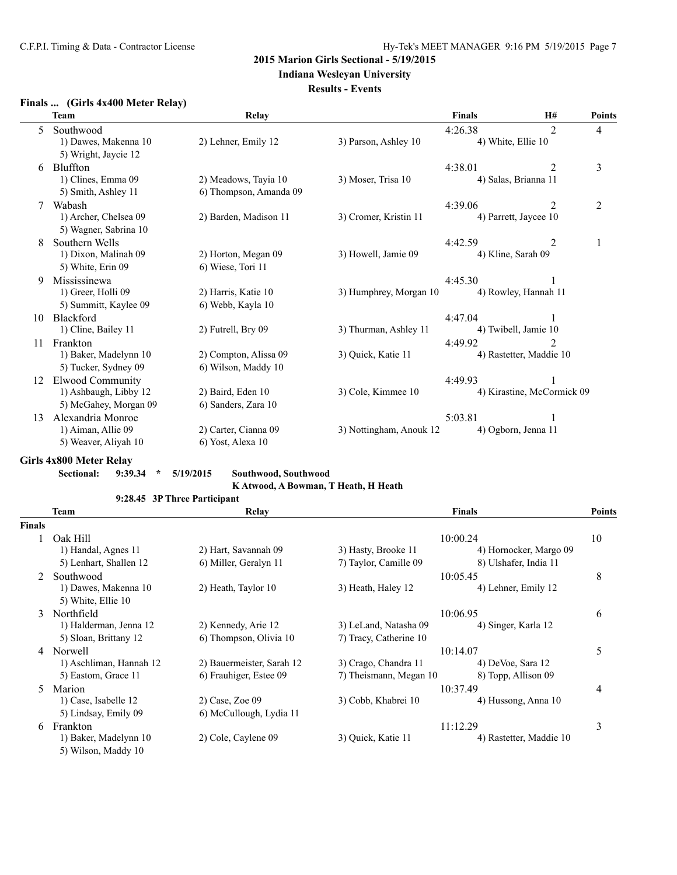**Indiana Wesleyan University**

### **Results - Events**

# **Finals ... (Girls 4x400 Meter Relay)**

|    | <b>Team</b>             | <b>Relay</b>           |                         | <b>Finals</b> | H#                         | <b>Points</b> |
|----|-------------------------|------------------------|-------------------------|---------------|----------------------------|---------------|
| 5  | Southwood               |                        |                         | 4:26.38       | 2                          | 4             |
|    | 1) Dawes, Makenna 10    | 2) Lehner, Emily 12    | 3) Parson, Ashley 10    |               | 4) White, Ellie 10         |               |
|    | 5) Wright, Jaycie 12    |                        |                         |               |                            |               |
| 6  | Bluffton                |                        |                         | 4:38.01       | 2                          | 3             |
|    | 1) Clines, Emma 09      | 2) Meadows, Tayia 10   | 3) Moser, Trisa 10      |               | 4) Salas, Brianna 11       |               |
|    | 5) Smith, Ashley 11     | 6) Thompson, Amanda 09 |                         |               |                            |               |
| 7  | Wabash                  |                        |                         | 4:39.06       | 2                          | 2             |
|    | 1) Archer, Chelsea 09   | 2) Barden, Madison 11  | 3) Cromer, Kristin 11   |               | 4) Parrett, Jaycee 10      |               |
|    | 5) Wagner, Sabrina 10   |                        |                         |               |                            |               |
| 8  | Southern Wells          |                        |                         | 4:42.59       | 2                          |               |
|    | 1) Dixon, Malinah 09    | 2) Horton, Megan 09    | 3) Howell, Jamie 09     |               | 4) Kline, Sarah 09         |               |
|    | 5) White, Erin 09       | 6) Wiese, Tori 11      |                         |               |                            |               |
| 9  | Mississinewa            |                        |                         | 4:45.30       |                            |               |
|    | 1) Greer, Holli 09      | 2) Harris, Katie 10    | 3) Humphrey, Morgan 10  |               | 4) Rowley, Hannah 11       |               |
|    | 5) Summitt, Kaylee 09   | 6) Webb, Kayla 10      |                         |               |                            |               |
| 10 | <b>Blackford</b>        |                        |                         | 4:47.04       |                            |               |
|    | 1) Cline, Bailey 11     | 2) Futrell, Bry 09     | 3) Thurman, Ashley 11   |               | 4) Twibell, Jamie 10       |               |
| 11 | Frankton                |                        |                         | 4:49.92       | 2                          |               |
|    | 1) Baker, Madelynn 10   | 2) Compton, Alissa 09  | 3) Quick, Katie 11      |               | 4) Rastetter, Maddie 10    |               |
|    | 5) Tucker, Sydney 09    | 6) Wilson, Maddy 10    |                         |               |                            |               |
| 12 | <b>Elwood Community</b> |                        |                         | 4:49.93       |                            |               |
|    | 1) Ashbaugh, Libby 12   | 2) Baird, Eden 10      | 3) Cole, Kimmee 10      |               | 4) Kirastine, McCormick 09 |               |
|    | 5) McGahey, Morgan 09   | 6) Sanders, Zara 10    |                         |               |                            |               |
| 13 | Alexandria Monroe       |                        |                         | 5:03.81       |                            |               |
|    | 1) Aiman, Allie 09      | 2) Carter, Cianna 09   | 3) Nottingham, Anouk 12 |               | 4) Ogborn, Jenna 11        |               |
|    | 5) Weaver, Aliyah 10    | 6) Yost, Alexa 10      |                         |               |                            |               |

### **Girls 4x800 Meter Relay**

**Sectional: 9:39.34 \* 5/19/2015 Southwood, Southwood**

# **K Atwood, A Bowman, T Heath, H Heath**

|                | 9:28.45 3P Three Participant |                           |                        |                         |        |
|----------------|------------------------------|---------------------------|------------------------|-------------------------|--------|
|                | <b>Team</b>                  | Relay                     |                        | <b>Finals</b>           | Points |
| <b>Finals</b>  |                              |                           |                        |                         |        |
|                | Oak Hill                     |                           |                        | 10:00.24                | 10     |
|                | 1) Handal, Agnes 11          | 2) Hart, Savannah 09      | 3) Hasty, Brooke 11    | 4) Hornocker, Margo 09  |        |
|                | 5) Lenhart, Shallen 12       | 6) Miller, Geralyn 11     | 7) Taylor, Camille 09  | 8) Ulshafer, India 11   |        |
|                | Southwood                    |                           |                        | 10:05.45                | 8      |
|                | 1) Dawes, Makenna 10         | 2) Heath, Taylor 10       | 3) Heath, Haley 12     | 4) Lehner, Emily 12     |        |
|                | 5) White, Ellie 10           |                           |                        |                         |        |
| 3              | Northfield                   |                           |                        | 10:06.95                | 6      |
|                | 1) Halderman, Jenna 12       | 2) Kennedy, Arie 12       | 3) LeLand, Natasha 09  | 4) Singer, Karla 12     |        |
|                | 5) Sloan, Brittany 12        | 6) Thompson, Olivia 10    | 7) Tracy, Catherine 10 |                         |        |
| $\overline{4}$ | Norwell                      |                           |                        | 10:14.07                | 5      |
|                | 1) Aschliman, Hannah 12      | 2) Bauermeister, Sarah 12 | 3) Crago, Chandra 11   | 4) DeVoe, Sara 12       |        |
|                | 5) Eastom, Grace 11          | 6) Frauhiger, Estee 09    | 7) Theismann, Megan 10 | 8) Topp, Allison 09     |        |
| 5.             | Marion                       |                           |                        | 10:37.49                | 4      |
|                | 1) Case, Isabelle 12         | $2)$ Case, Zoe 09         | 3) Cobb, Khabrei 10    | 4) Hussong, Anna 10     |        |
|                | 5) Lindsay, Emily 09         | 6) McCullough, Lydia 11   |                        |                         |        |
| 6              | Frankton                     |                           |                        | 11:12.29                | 3      |
|                | 1) Baker, Madelynn 10        | 2) Cole, Caylene 09       | 3) Quick, Katie 11     | 4) Rastetter, Maddie 10 |        |
|                | 5) Wilson, Maddy 10          |                           |                        |                         |        |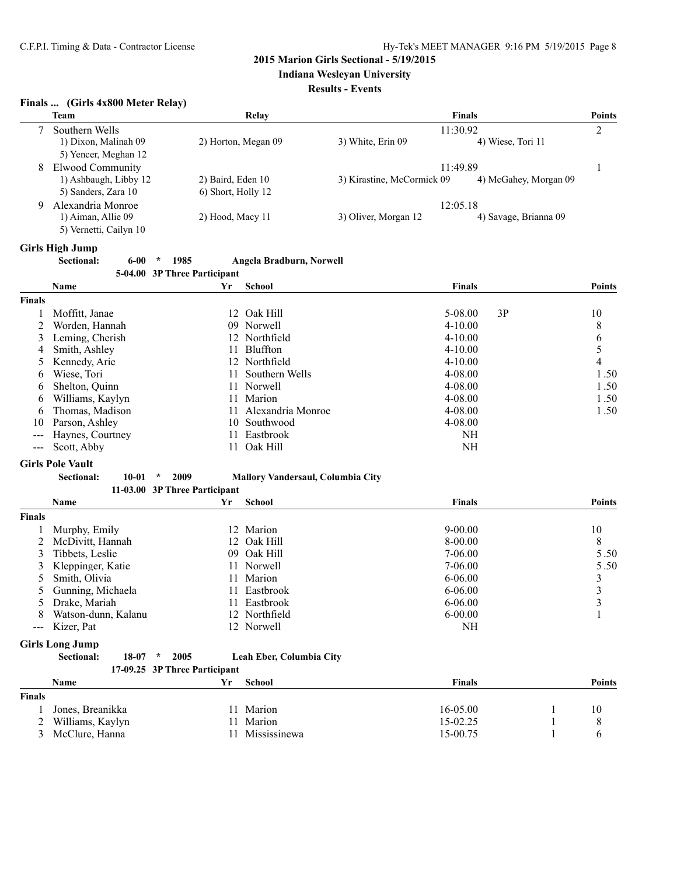**Indiana Wesleyan University**

### **Results - Events**

# **Finals ... (Girls 4x800 Meter Relay)**

| <b>Team</b>            | Relay               |                            | <b>Points</b>         |                                                  |
|------------------------|---------------------|----------------------------|-----------------------|--------------------------------------------------|
| Southern Wells         |                     |                            |                       | $\overline{2}$                                   |
| 1) Dixon, Malinah 09   | 2) Horton, Megan 09 | 3) White, Erin 09          | 4) Wiese, Tori 11     |                                                  |
| 5) Yencer, Meghan 12   |                     |                            |                       |                                                  |
| Elwood Community       |                     |                            |                       |                                                  |
| 1) Ashbaugh, Libby 12  | 2) Baird, Eden 10   | 3) Kirastine, McCormick 09 | 4) McGahey, Morgan 09 |                                                  |
| 5) Sanders, Zara 10    | 6) Short, Holly 12  |                            |                       |                                                  |
| Alexandria Monroe      |                     |                            |                       |                                                  |
| 1) Aiman, Allie 09     | 2) Hood, Macy 11    | 3) Oliver, Morgan 12       | 4) Savage, Brianna 09 |                                                  |
| 5) Vernetti, Cailyn 10 |                     |                            |                       |                                                  |
|                        |                     |                            |                       | <b>Finals</b><br>11:30.92<br>11.4989<br>12:05.18 |

### **Girls High Jump**

| <b>Sectional:</b> | 6-00 | 1985 | Angela Bradburn, Norwell     |
|-------------------|------|------|------------------------------|
|                   |      |      | 5-04.00 3P Three Particinant |

|                                                                                                                                                                                                                                                                                                                                                                                                                                                                            | Name             | Yr | School            | <b>Finals</b> | <b>Points</b> |
|----------------------------------------------------------------------------------------------------------------------------------------------------------------------------------------------------------------------------------------------------------------------------------------------------------------------------------------------------------------------------------------------------------------------------------------------------------------------------|------------------|----|-------------------|---------------|---------------|
| <b>Finals</b>                                                                                                                                                                                                                                                                                                                                                                                                                                                              |                  |    |                   |               |               |
|                                                                                                                                                                                                                                                                                                                                                                                                                                                                            | Moffitt, Janae   |    | 12 Oak Hill       | 3P<br>5-08.00 | 10            |
|                                                                                                                                                                                                                                                                                                                                                                                                                                                                            | Worden, Hannah   |    | 09 Norwell        | $4 - 10.00$   | 8             |
|                                                                                                                                                                                                                                                                                                                                                                                                                                                                            | Leming, Cherish  |    | 12 Northfield     | $4 - 10.00$   | 6             |
| 4                                                                                                                                                                                                                                                                                                                                                                                                                                                                          | Smith, Ashley    |    | 11 Bluffton       | $4 - 10.00$   |               |
| 5                                                                                                                                                                                                                                                                                                                                                                                                                                                                          | Kennedy, Arie    |    | 12 Northfield     | $4 - 10.00$   | 4             |
| 6                                                                                                                                                                                                                                                                                                                                                                                                                                                                          | Wiese, Tori      |    | 11 Southern Wells | $4 - 08.00$   | 1.50          |
| 6                                                                                                                                                                                                                                                                                                                                                                                                                                                                          | Shelton, Quinn   |    | 11 Norwell        | $4 - 08.00$   | 1.50          |
| b                                                                                                                                                                                                                                                                                                                                                                                                                                                                          | Williams, Kaylyn | 11 | Marion            | $4 - 08.00$   | 1.50          |
| b                                                                                                                                                                                                                                                                                                                                                                                                                                                                          | Thomas, Madison  | 11 | Alexandria Monroe | $4 - 08.00$   | 1.50          |
| 10                                                                                                                                                                                                                                                                                                                                                                                                                                                                         | Parson, Ashley   | 10 | Southwood         | $4 - 08.00$   |               |
| $\qquad \qquad -$                                                                                                                                                                                                                                                                                                                                                                                                                                                          | Haynes, Courtney | 11 | Eastbrook         | NH            |               |
| $\frac{1}{2} \left( \frac{1}{2} \right) \left( \frac{1}{2} \right) \left( \frac{1}{2} \right) \left( \frac{1}{2} \right) \left( \frac{1}{2} \right) \left( \frac{1}{2} \right) \left( \frac{1}{2} \right) \left( \frac{1}{2} \right) \left( \frac{1}{2} \right) \left( \frac{1}{2} \right) \left( \frac{1}{2} \right) \left( \frac{1}{2} \right) \left( \frac{1}{2} \right) \left( \frac{1}{2} \right) \left( \frac{1}{2} \right) \left( \frac{1}{2} \right) \left( \frac$ | Scott, Abby      |    | 11 Oak Hill       | NH            |               |

### **Girls Pole Vault**

| <b>Sectional:</b> | $10-01$ * | 2009 | Mallory Vandersaul, Columbia City |
|-------------------|-----------|------|-----------------------------------|
|-------------------|-----------|------|-----------------------------------|

| 11-03.00 3P Three Participant |                     |    |               |               |               |
|-------------------------------|---------------------|----|---------------|---------------|---------------|
|                               | <b>Name</b>         | Yr | School        | <b>Finals</b> | <b>Points</b> |
| Finals                        |                     |    |               |               |               |
|                               | Murphy, Emily       |    | 12 Marion     | $9-00.00$     | 10            |
|                               | McDivitt, Hannah    |    | 12 Oak Hill   | $8 - 00.00$   | 8             |
|                               | Tibbets, Leslie     |    | 09 Oak Hill   | 7-06.00       | 5.50          |
|                               | Kleppinger, Katie   |    | 11 Norwell    | 7-06.00       | 5.50          |
|                               | Smith, Olivia       |    | 11 Marion     | $6 - 06.00$   | 3             |
|                               | Gunning, Michaela   | 11 | Eastbrook     | $6 - 06.00$   | ◠             |
|                               | Drake, Mariah       | 11 | Eastbrook     | $6 - 06.00$   |               |
| 8                             | Watson-dunn, Kalanu |    | 12 Northfield | $6 - 00.00$   |               |
|                               | Kizer, Pat          |    | 12 Norwell    | NH            |               |

### **Girls Long Jump**

| Sectional: | 18-07 | 2005                          | Leah Eber, Columbia City |
|------------|-------|-------------------------------|--------------------------|
|            |       | 17-09.25 3P Three Particinant |                          |

|               | $17 - 07.23$ of three farming and |              |              |              |  |               |
|---------------|-----------------------------------|--------------|--------------|--------------|--|---------------|
|               | Name                              | Yг           | School       | Finals       |  | <b>Points</b> |
| <b>Finals</b> |                                   |              |              |              |  |               |
|               | Jones, Breanikka                  | $\mathbf{L}$ | Marion       | $16 - 05.00$ |  | 10            |
|               | 2 Williams, Kaylyn                | 11           | Marion       | 15-02.25     |  |               |
|               | McClure, Hanna                    |              | Mississinewa | 15-00.75     |  |               |
|               |                                   |              |              |              |  |               |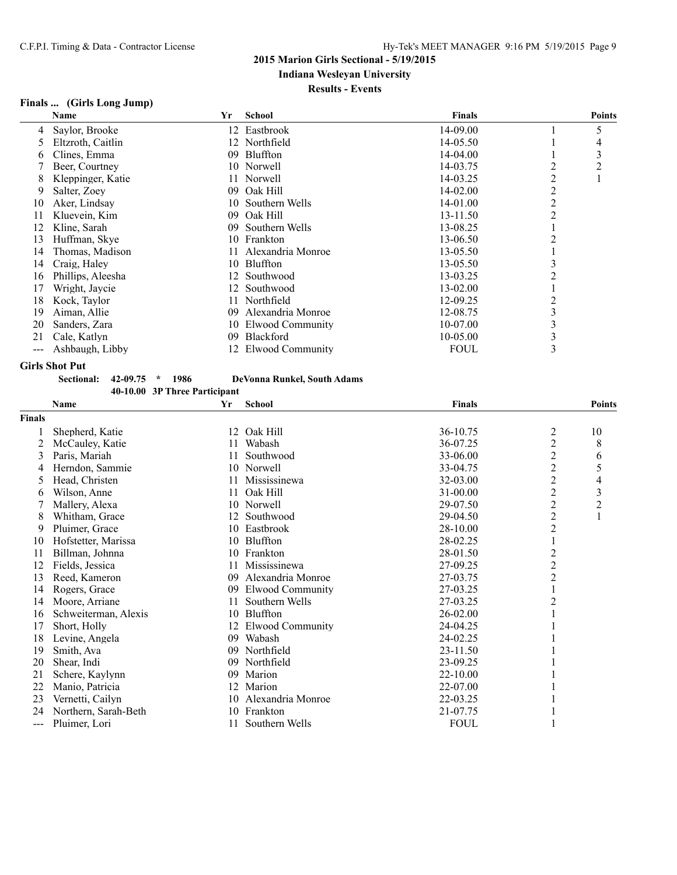**Indiana Wesleyan University**

**Results - Events**

### **Finals ... (Girls Long Jump)**

|    | Name              | Yr  | <b>School</b>        | <b>Finals</b> |   | <b>Points</b> |
|----|-------------------|-----|----------------------|---------------|---|---------------|
|    | Saylor, Brooke    |     | 12 Eastbrook         | 14-09.00      |   |               |
|    | Eltzroth, Caitlin |     | 12 Northfield        | 14-05.50      |   | 4             |
| 6. | Clines, Emma      | 09  | Bluffton             | 14-04.00      |   |               |
|    | Beer, Courtney    |     | 10 Norwell           | 14-03.75      | 2 | 2             |
|    | Kleppinger, Katie | 11  | Norwell              | 14-03.25      | 2 |               |
| 9  | Salter, Zoey      | 09  | Oak Hill             | 14-02.00      |   |               |
| 10 | Aker, Lindsay     | 10  | Southern Wells       | 14-01.00      | 2 |               |
|    | Kluevein, Kim     | 09  | Oak Hill             | 13-11.50      |   |               |
|    | Kline, Sarah      | 09  | Southern Wells       | 13-08.25      |   |               |
| 13 | Huffman, Skye     |     | 10 Frankton          | 13-06.50      |   |               |
| 14 | Thomas, Madison   |     | 11 Alexandria Monroe | 13-05.50      |   |               |
| 14 | Craig, Haley      |     | 10 Bluffton          | 13-05.50      |   |               |
| 16 | Phillips, Aleesha | 12. | Southwood            | 13-03.25      |   |               |
|    | Wright, Jaycie    | 12  | Southwood            | 13-02.00      |   |               |
| 18 | Kock, Taylor      | 11  | Northfield           | 12-09.25      |   |               |
| 19 | Aiman, Allie      | 09  | Alexandria Monroe    | 12-08.75      | 3 |               |
| 20 | Sanders, Zara     | 10  | Elwood Community     | 10-07.00      | 3 |               |
| 21 | Cale, Katlyn      | 09  | <b>Blackford</b>     | 10-05.00      | 3 |               |
|    | Ashbaugh, Libby   |     | 12 Elwood Community  | <b>FOUL</b>   | 3 |               |

### **Girls Shot Put**

**Sectional: 42-09.75 \* 1986 DeVonna Runkel, South Adams 40-10.00 3P Three Participant Name Yr School Finals Points Finals** 1 Shepherd, Katie 12 Oak Hill 36-10.75 2 10 2 McCauley, Katie 11 Wabash 36-07.25 2 8<br>3 Paris, Mariah 11 Southwood 33-06.00 2 6 3 Paris, Mariah 11 Southwood 33-06.00 2 6<br>4 Herndon, Sammie 10 Norwell 33-04.75 2 5 4 Herndon, Sammie 10 Norwell 33-04.75 2 5<br>5 Head, Christen 11 Mississinewa 32-03.00 2 4 5 Head, Christen 11 Mississinewa 32-03.00 2<br>6 Wilson, Anne 11 Oak Hill 2 31-00.00 2 6 Wilson, Anne 11 Oak Hill 31-00.00 2 3<br>
7 Mallery, Alexa 10 Norwell 29-07.50 2 2 7 Mallery, Alexa 10 Norwell 29-07.50 2<br>
8 Whitham Grace 12 Southwood 29-04.50 2 8 Whitham, Grace 12 Southwood 29-04.50 2 1<br>
9 Pluimer, Grace 10 Eastbrook 28-10.00 2<br>
2 9 Pluimer, Grace 10 Eastbrook 28-10.00 2<br>10 Bluffton 28-02.25 1 10 Hofstetter, Marissa 10 Bluffton 11 Billman, Johnna 10 Frankton 28-02.25 1<br>11 Billman, Johnna 10 Frankton 28-01.50 2 11 Billman, Johnna 10 Frankton 28-01.50 2<br>12 Fields, Jessica 11 Mississinewa 27-09.25 2 12 Fields, Jessica 11 Mississinewa 27-09.25 2<br>13 Reed, Kameron 11 Mississinewa 27-09.25 2 13 Reed, Kameron 09 Alexandria Monroe 27-03.75 2 14 Rogers, Grace 11 8 09 Elwood Community 11 27-03.25 1<br>14 Moore, Arriane 11 1 1 Southern Wells 27-03.25 2 14 Moore, Arriane 11 Southern Wells 27-03.25 2<br>16 Schweiterman, Alexis 10 Bluffton 26-02.00 1 16 Schweiterman, Alexis 17 Short, Holly 12 Elwood Community 24-04.25 1 18 Levine, Angela 09 Wabash 24-02.25 1 19 Smith, Ava 09 Northfield 23-11.50 1 20 Shear, Indi 09 Northfield 23-09.25 1 21 Schere, Kaylynn 1 09 Marion 22-10.00 1<br>22 Manio, Patricia 12 Marion 22-07.00 1 22 Manio, Patricia 12 Marion 22-07.00 1 23 Vernetti, Cailyn 10 Alexandria Monroe 22-03.25 1 24 Northern, Sarah-Beth 10 Frankton 21-07.75 1 --- Pluimer, Lori 11 Southern Wells FOUL 1